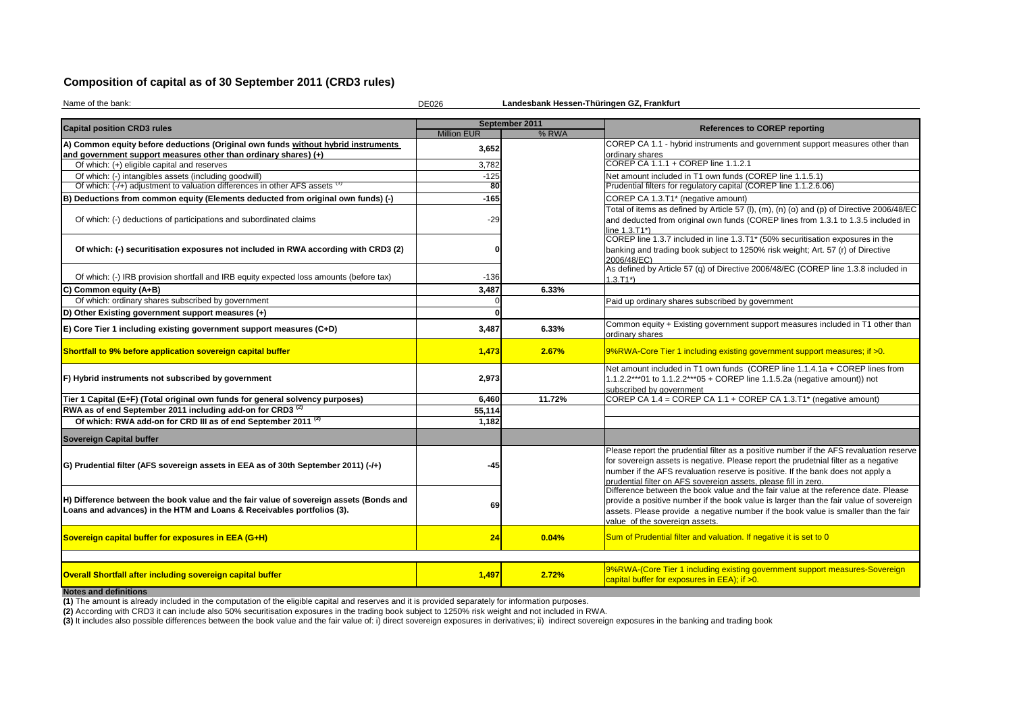## **Composition of capital as of 30 September 2011 (CRD3 rules)**

| Name of the bank:                                                                                                                                                | Landesbank Hessen-Thüringen GZ, Frankfurt<br><b>DE026</b> |                |                                                                                                                                                                                                                                                                                                                                     |  |  |  |  |
|------------------------------------------------------------------------------------------------------------------------------------------------------------------|-----------------------------------------------------------|----------------|-------------------------------------------------------------------------------------------------------------------------------------------------------------------------------------------------------------------------------------------------------------------------------------------------------------------------------------|--|--|--|--|
| <b>Capital position CRD3 rules</b>                                                                                                                               |                                                           | September 2011 | <b>References to COREP reporting</b>                                                                                                                                                                                                                                                                                                |  |  |  |  |
|                                                                                                                                                                  | <b>Million EUR</b>                                        | % RWA          |                                                                                                                                                                                                                                                                                                                                     |  |  |  |  |
| A) Common equity before deductions (Original own funds without hybrid instruments                                                                                | 3,652                                                     |                | COREP CA 1.1 - hybrid instruments and government support measures other than                                                                                                                                                                                                                                                        |  |  |  |  |
| and government support measures other than ordinary shares) (+)                                                                                                  |                                                           |                | ordinary shares<br>COREP CA 1.1.1 + COREP line 1.1.2.1                                                                                                                                                                                                                                                                              |  |  |  |  |
| Of which: (+) eligible capital and reserves                                                                                                                      | 3,782                                                     |                |                                                                                                                                                                                                                                                                                                                                     |  |  |  |  |
| Of which: (-) intangibles assets (including goodwill)                                                                                                            | $-125$                                                    |                | Net amount included in T1 own funds (COREP line 1.1.5.1)                                                                                                                                                                                                                                                                            |  |  |  |  |
| Of which: (-/+) adjustment to valuation differences in other AFS assets (1)                                                                                      | 80                                                        |                | Prudential filters for regulatory capital (COREP line 1.1.2.6.06)                                                                                                                                                                                                                                                                   |  |  |  |  |
| B) Deductions from common equity (Elements deducted from original own funds) (-)                                                                                 | $-165$                                                    |                | COREP CA 1.3.T1* (negative amount)                                                                                                                                                                                                                                                                                                  |  |  |  |  |
| Of which: (-) deductions of participations and subordinated claims                                                                                               | -29                                                       |                | Total of items as defined by Article 57 (I), (m), (n) (o) and (p) of Directive 2006/48/E<br>and deducted from original own funds (COREP lines from 1.3.1 to 1.3.5 included in                                                                                                                                                       |  |  |  |  |
|                                                                                                                                                                  |                                                           |                | line 1.3.T1*)                                                                                                                                                                                                                                                                                                                       |  |  |  |  |
|                                                                                                                                                                  |                                                           |                | COREP line 1.3.7 included in line 1.3.T1* (50% securitisation exposures in the                                                                                                                                                                                                                                                      |  |  |  |  |
| Of which: (-) securitisation exposures not included in RWA according with CRD3 (2)                                                                               |                                                           |                | banking and trading book subject to 1250% risk weight; Art. 57 (r) of Directive<br>2006/48/EC)                                                                                                                                                                                                                                      |  |  |  |  |
|                                                                                                                                                                  |                                                           |                | As defined by Article 57 (q) of Directive 2006/48/EC (COREP line 1.3.8 included in                                                                                                                                                                                                                                                  |  |  |  |  |
| Of which: (-) IRB provision shortfall and IRB equity expected loss amounts (before tax)                                                                          | $-136$                                                    |                | $1.3.T1*$                                                                                                                                                                                                                                                                                                                           |  |  |  |  |
| C) Common equity (A+B)                                                                                                                                           | 3,487                                                     | 6.33%          |                                                                                                                                                                                                                                                                                                                                     |  |  |  |  |
| Of which: ordinary shares subscribed by government                                                                                                               |                                                           |                | Paid up ordinary shares subscribed by government                                                                                                                                                                                                                                                                                    |  |  |  |  |
| D) Other Existing government support measures (+)                                                                                                                |                                                           |                |                                                                                                                                                                                                                                                                                                                                     |  |  |  |  |
| E) Core Tier 1 including existing government support measures (C+D)                                                                                              | 3,487                                                     | 6.33%          | Common equity + Existing government support measures included in T1 other than<br>ordinary shares                                                                                                                                                                                                                                   |  |  |  |  |
| Shortfall to 9% before application sovereign capital buffer                                                                                                      | 1,473                                                     | 2.67%          | 9%RWA-Core Tier 1 including existing government support measures; if >0.                                                                                                                                                                                                                                                            |  |  |  |  |
| F) Hybrid instruments not subscribed by government                                                                                                               | 2,973                                                     |                | Net amount included in T1 own funds (COREP line 1.1.4.1a + COREP lines from<br>1.1.2.2***01 to 1.1.2.2***05 + COREP line 1.1.5.2a (negative amount)) not<br>subscribed by government                                                                                                                                                |  |  |  |  |
| Tier 1 Capital (E+F) (Total original own funds for general solvency purposes)                                                                                    | 6,460                                                     | 11.72%         | COREP CA 1.4 = COREP CA 1.1 + COREP CA 1.3.T1* (negative amount)                                                                                                                                                                                                                                                                    |  |  |  |  |
| RWA as of end September 2011 including add-on for CRD3 <sup>(2)</sup>                                                                                            | 55,114                                                    |                |                                                                                                                                                                                                                                                                                                                                     |  |  |  |  |
| Of which: RWA add-on for CRD III as of end September 2011 <sup>(2)</sup>                                                                                         | 1,182                                                     |                |                                                                                                                                                                                                                                                                                                                                     |  |  |  |  |
| <b>Sovereign Capital buffer</b>                                                                                                                                  |                                                           |                |                                                                                                                                                                                                                                                                                                                                     |  |  |  |  |
| (G) Prudential filter (AFS sovereign assets in EEA as of 30th September 2011) (-/+)                                                                              | -45                                                       |                | Please report the prudential filter as a positive number if the AFS revaluation reserv<br>for sovereign assets is negative. Please report the prudetnial filter as a negative<br>number if the AFS revaluation reserve is positive. If the bank does not apply a<br>prudential filter on AFS sovereign assets, please fill in zero. |  |  |  |  |
| H) Difference between the book value and the fair value of sovereign assets (Bonds and<br>Loans and advances) in the HTM and Loans & Receivables portfolios (3). | 69                                                        |                | Difference between the book value and the fair value at the reference date. Please<br>provide a positive number if the book value is larger than the fair value of sovereigr<br>assets. Please provide a negative number if the book value is smaller than the fair<br>value of the sovereign assets.                               |  |  |  |  |
| Sovereign capital buffer for exposures in EEA (G+H)                                                                                                              | 24                                                        | 0.04%          | Sum of Prudential filter and valuation. If negative it is set to 0                                                                                                                                                                                                                                                                  |  |  |  |  |
|                                                                                                                                                                  |                                                           |                |                                                                                                                                                                                                                                                                                                                                     |  |  |  |  |
| Overall Shortfall after including sovereign capital buffer                                                                                                       | 1,497                                                     | 2.72%          | 9%RWA-(Core Tier 1 including existing government support measures-Sovereign<br>capital buffer for exposures in EEA); if >0.                                                                                                                                                                                                         |  |  |  |  |
| <b>Notes and definitions</b>                                                                                                                                     |                                                           |                |                                                                                                                                                                                                                                                                                                                                     |  |  |  |  |

**(2)** According with CRD3 it can include also 50% securitisation exposures in the trading book subject to 1250% risk weight and not included in RWA.

(3) It includes also possible differences between the book value and the fair value of: i) direct sovereign exposures in derivatives; ii) indirect sovereign exposures in the banking and trading book

**(1)** The amount is already included in the computation of the eligible capital and reserves and it is provided separately for information purposes.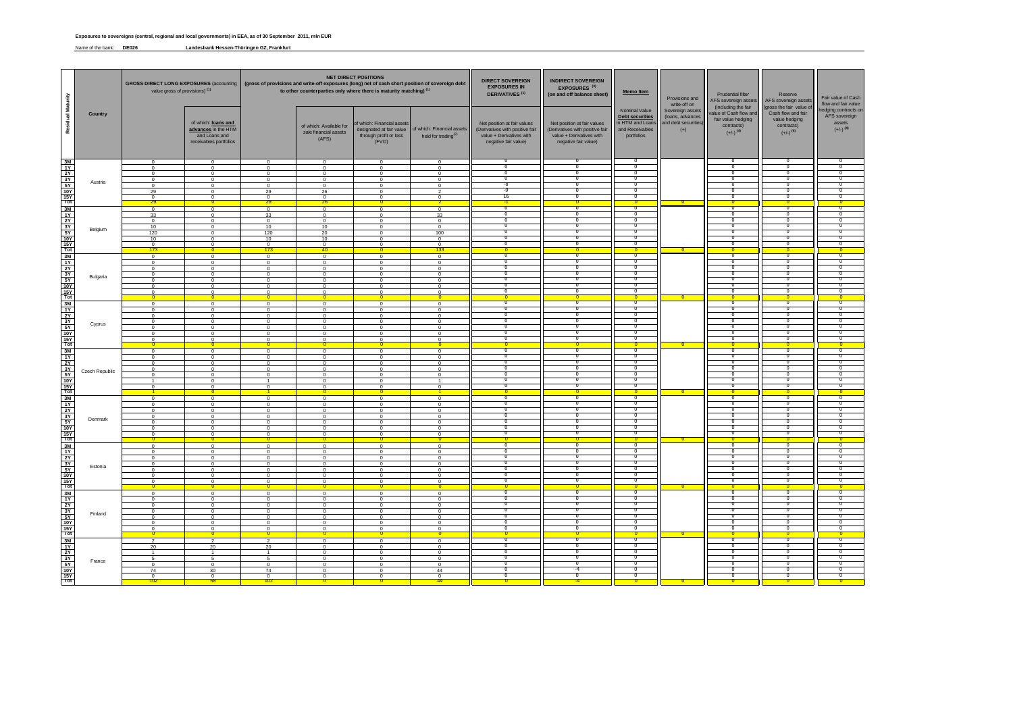Name of the bank: **DE026 Landesbank Hessen-Thüringen GZ, Frankfurt**

|                          |                       | value gross of provisions) <sup>(1)</sup> |                                                                                       |                            | <b>NET DIRECT POSITIONS</b><br><b>DIRECT SOVEREIGN</b><br>GROSS DIRECT LONG EXPOSURES (accounting   (gross of provisions and write-off exposures (long) net of cash short position of sovereign debt<br><b>EXPOSURES IN</b><br>to other counterparties only where there is maturity matching) <sup>(1)</sup><br><b>DERIVATIVES<sup>(1)</sup></b> |                                                               |                                                                                      |                                                                                                                    | <b>INDIRECT SOVEREIGN</b><br>EXPOSURES <sup>(3)</sup><br>(on and off balance sheet)                                                | <b>Memo Item</b>                                                   | Provisions and<br>write-off on                                        | <b>Prudential filter</b><br>AFS sovereign assets                                                            | Reserve<br>AFS sovereign assets                                                                         | Fair value of Cash<br>flow and fair value                                 |
|--------------------------|-----------------------|-------------------------------------------|---------------------------------------------------------------------------------------|----------------------------|--------------------------------------------------------------------------------------------------------------------------------------------------------------------------------------------------------------------------------------------------------------------------------------------------------------------------------------------------|---------------------------------------------------------------|--------------------------------------------------------------------------------------|--------------------------------------------------------------------------------------------------------------------|------------------------------------------------------------------------------------------------------------------------------------|--------------------------------------------------------------------|-----------------------------------------------------------------------|-------------------------------------------------------------------------------------------------------------|---------------------------------------------------------------------------------------------------------|---------------------------------------------------------------------------|
| <b>Residual Maturity</b> | <b>Country</b>        |                                           | of which: loans and<br>advances in the HTM<br>and Loans and<br>receivables portfolios |                            | of which: Available for<br>sale financial assets<br>(AFS)                                                                                                                                                                                                                                                                                        | of which: Financial assets<br>through profit or loss<br>(FVO) | designated at fair value   of which: Financial assets  <br>held for trading $^{(2)}$ | Net position at fair values<br>(Derivatives with positive fair<br>value + Derivatives with<br>negative fair value) | Net position at fair values<br>(Derivatives with positive fair and Receivables<br>value + Derivatives with<br>negative fair value) | Nominal Value<br>Debt securities<br>in HTM and Loans<br>portfolios | Sovereign assets<br>(loans, advances<br>and debt securities)<br>$(+)$ | (including the fair<br>value of Cash flow and<br>fair value hedging<br>contracts)<br>$(+/-)$ <sup>(4)</sup> | (gross the fair value of<br>Cash flow and fair<br>value hedging<br>contracts)<br>$(+/-)$ <sup>(4)</sup> | hedging contracts on<br>AFS sovereign<br>assets<br>$(+/-)$ <sup>(4)</sup> |
|                          |                       | $\Omega$                                  | $\cap$                                                                                | $\Omega$                   | $\Omega$                                                                                                                                                                                                                                                                                                                                         | $\cap$                                                        | $\cap$                                                                               | <b>U</b>                                                                                                           | U                                                                                                                                  |                                                                    |                                                                       | . U                                                                                                         | <b>U</b>                                                                                                |                                                                           |
|                          |                       | $\Omega$<br>$\Omega$                      | $\cap$<br>$\cap$                                                                      | $\Omega$<br>$\Omega$       | $\Omega$<br>$\Omega$                                                                                                                                                                                                                                                                                                                             | $\cap$<br>$\cap$                                              | $\cap$<br>$\cap$                                                                     | <b>U</b>                                                                                                           | <b>U</b>                                                                                                                           |                                                                    |                                                                       | <b>U</b>                                                                                                    | - 0<br>-0                                                                                               |                                                                           |
|                          | Austria               | $\Omega$                                  | $\cap$                                                                                | $\Omega$                   | $\Omega$                                                                                                                                                                                                                                                                                                                                         | $\cap$                                                        | $\cap$                                                                               |                                                                                                                    |                                                                                                                                    |                                                                    |                                                                       |                                                                                                             |                                                                                                         |                                                                           |
|                          |                       | $\cap$<br>29                              | $\sqrt{ }$<br>$\sqrt{ }$                                                              | $\Omega$<br>29             | $\Omega$<br>26                                                                                                                                                                                                                                                                                                                                   | $\cap$<br>$\cap$                                              | $\Omega$                                                                             | -8<br>-9                                                                                                           |                                                                                                                                    |                                                                    |                                                                       |                                                                                                             |                                                                                                         |                                                                           |
|                          |                       | $\cap$<br><u> 29 </u>                     | $\cap$<br>0                                                                           | $\Omega$<br><u> 29 </u>    | $\Omega$<br><u> 26 </u>                                                                                                                                                                                                                                                                                                                          | $\cap$                                                        | $\Omega$                                                                             | 16<br>$-1$                                                                                                         | <b>U</b>                                                                                                                           | $\overline{\phantom{0}}$ 0                                         | $\overline{\phantom{0}}$                                              | <b>U</b><br>$\overline{\mathbf{0}}$                                                                         | - 0<br>- 0 -                                                                                            | - 0                                                                       |
|                          |                       | $\Omega$                                  | $\cap$                                                                                | $\Omega$                   | $\Omega$                                                                                                                                                                                                                                                                                                                                         | $\cap$                                                        | $\cap$                                                                               |                                                                                                                    |                                                                                                                                    |                                                                    |                                                                       |                                                                                                             |                                                                                                         |                                                                           |
|                          |                       | 33<br>$\Omega$                            | $\sqrt{ }$<br>$\sqrt{ }$                                                              | 33<br>$\Omega$             | $\Omega$<br>$\Omega$                                                                                                                                                                                                                                                                                                                             | $\cap$<br>$\cap$                                              | 33<br>$\cap$                                                                         |                                                                                                                    |                                                                                                                                    |                                                                    |                                                                       |                                                                                                             |                                                                                                         |                                                                           |
|                          | Belgium               | 10<br>120                                 | $\Omega$<br>$\Omega$                                                                  | 10<br>120                  | 10<br>20                                                                                                                                                                                                                                                                                                                                         | $\cap$<br>$\cap$                                              | $\cap$<br>100                                                                        | - 0<br>$\bf{0}$                                                                                                    | <b>U</b>                                                                                                                           |                                                                    |                                                                       | -0<br>- 0                                                                                                   | - 0<br>- 0                                                                                              |                                                                           |
|                          |                       | 10                                        | $\cap$                                                                                | 10                         | 10 <sup>1</sup>                                                                                                                                                                                                                                                                                                                                  | $\cap$                                                        | $\cap$                                                                               | <b>U</b>                                                                                                           | -0                                                                                                                                 |                                                                    |                                                                       | - U                                                                                                         | - 0                                                                                                     |                                                                           |
|                          |                       | $\Omega$<br><mark>173</mark>              | $\cap$                                                                                | $\overline{0}$<br>173      | $\Omega$<br>40                                                                                                                                                                                                                                                                                                                                   | $\cap$                                                        | $\cap$<br><b>1337</b>                                                                |                                                                                                                    |                                                                                                                                    | - 0 -                                                              | $\overline{0}$                                                        |                                                                                                             |                                                                                                         |                                                                           |
|                          |                       | $\Omega$                                  | $\sqrt{ }$<br>$\Omega$                                                                | $\Omega$                   | $\Omega$                                                                                                                                                                                                                                                                                                                                         | $\cap$<br>$\cap$                                              | $\cap$<br>$\Omega$                                                                   | - 0                                                                                                                |                                                                                                                                    |                                                                    |                                                                       |                                                                                                             | - 0                                                                                                     |                                                                           |
|                          |                       | $\Omega$<br>$\Omega$                      | $\cap$                                                                                | $\Omega$<br>$\Omega$       | $\Omega$<br>$\Omega$                                                                                                                                                                                                                                                                                                                             | $\cap$                                                        | $\cap$                                                                               | $\bf{0}$                                                                                                           | <b>U</b>                                                                                                                           |                                                                    |                                                                       | - U                                                                                                         | - 0                                                                                                     |                                                                           |
|                          | Bulgaria              | $\Omega$<br>$\Omega$                      | $\cap$<br>$\Omega$                                                                    | $\Omega$<br>$\Omega$       | $\Omega$<br>$\Omega$                                                                                                                                                                                                                                                                                                                             | $\cap$<br>$\cap$                                              | $\cap$<br>$\sqrt{ }$                                                                 |                                                                                                                    |                                                                                                                                    |                                                                    |                                                                       |                                                                                                             |                                                                                                         |                                                                           |
|                          |                       |                                           |                                                                                       |                            |                                                                                                                                                                                                                                                                                                                                                  |                                                               |                                                                                      |                                                                                                                    |                                                                                                                                    |                                                                    |                                                                       |                                                                                                             |                                                                                                         |                                                                           |
|                          |                       |                                           |                                                                                       |                            | ∩                                                                                                                                                                                                                                                                                                                                                |                                                               |                                                                                      |                                                                                                                    |                                                                                                                                    | $\Box$                                                             |                                                                       |                                                                                                             |                                                                                                         |                                                                           |
|                          |                       |                                           |                                                                                       | $\cap$                     | $\cap$<br>$\Omega$                                                                                                                                                                                                                                                                                                                               |                                                               |                                                                                      |                                                                                                                    |                                                                                                                                    |                                                                    |                                                                       |                                                                                                             |                                                                                                         |                                                                           |
|                          |                       |                                           |                                                                                       |                            | $\Omega$                                                                                                                                                                                                                                                                                                                                         |                                                               |                                                                                      |                                                                                                                    |                                                                                                                                    |                                                                    |                                                                       |                                                                                                             |                                                                                                         |                                                                           |
|                          | Cyprus                |                                           |                                                                                       | $\cap$<br>$\cap$           | $\Omega$<br>$\Omega$                                                                                                                                                                                                                                                                                                                             |                                                               |                                                                                      |                                                                                                                    |                                                                                                                                    |                                                                    |                                                                       |                                                                                                             |                                                                                                         |                                                                           |
|                          |                       |                                           |                                                                                       | $\cap$                     | - 0                                                                                                                                                                                                                                                                                                                                              |                                                               |                                                                                      |                                                                                                                    |                                                                                                                                    |                                                                    |                                                                       |                                                                                                             |                                                                                                         |                                                                           |
|                          |                       |                                           |                                                                                       |                            | $\cap$                                                                                                                                                                                                                                                                                                                                           |                                                               |                                                                                      |                                                                                                                    |                                                                                                                                    | -0                                                                 |                                                                       |                                                                                                             |                                                                                                         |                                                                           |
|                          |                       |                                           |                                                                                       |                            | $\cap$<br>$\cap$                                                                                                                                                                                                                                                                                                                                 |                                                               |                                                                                      |                                                                                                                    |                                                                                                                                    |                                                                    |                                                                       |                                                                                                             |                                                                                                         |                                                                           |
|                          |                       |                                           |                                                                                       | $\cap$                     | - 0                                                                                                                                                                                                                                                                                                                                              |                                                               |                                                                                      |                                                                                                                    |                                                                                                                                    |                                                                    |                                                                       |                                                                                                             |                                                                                                         |                                                                           |
|                          | <b>Czech Republic</b> |                                           |                                                                                       | $\cap$<br>$\cap$           | - 0<br>$\Omega$                                                                                                                                                                                                                                                                                                                                  |                                                               | $\sqrt{ }$                                                                           |                                                                                                                    |                                                                                                                                    |                                                                    |                                                                       |                                                                                                             |                                                                                                         |                                                                           |
|                          |                       |                                           |                                                                                       |                            | $\Omega$                                                                                                                                                                                                                                                                                                                                         |                                                               |                                                                                      |                                                                                                                    |                                                                                                                                    |                                                                    |                                                                       |                                                                                                             |                                                                                                         |                                                                           |
|                          |                       |                                           |                                                                                       | $\Omega$                   | $\Omega$                                                                                                                                                                                                                                                                                                                                         |                                                               |                                                                                      |                                                                                                                    |                                                                                                                                    |                                                                    |                                                                       |                                                                                                             |                                                                                                         |                                                                           |
|                          |                       |                                           |                                                                                       | $\Omega$<br>$\Omega$       | $\Omega$<br>- 0                                                                                                                                                                                                                                                                                                                                  |                                                               |                                                                                      |                                                                                                                    |                                                                                                                                    |                                                                    |                                                                       |                                                                                                             |                                                                                                         |                                                                           |
|                          |                       |                                           |                                                                                       | $\Omega$                   | $\Omega$                                                                                                                                                                                                                                                                                                                                         |                                                               |                                                                                      |                                                                                                                    |                                                                                                                                    |                                                                    |                                                                       |                                                                                                             |                                                                                                         |                                                                           |
|                          | Denmark               |                                           |                                                                                       | $\Omega$<br>$\Omega$       | $\Omega$<br>$\Omega$                                                                                                                                                                                                                                                                                                                             |                                                               | $\cap$<br>- വ                                                                        |                                                                                                                    |                                                                                                                                    |                                                                    |                                                                       |                                                                                                             |                                                                                                         |                                                                           |
|                          |                       |                                           |                                                                                       | $\Omega$                   | $\Omega$                                                                                                                                                                                                                                                                                                                                         |                                                               | - 0                                                                                  |                                                                                                                    |                                                                                                                                    |                                                                    |                                                                       |                                                                                                             |                                                                                                         |                                                                           |
|                          |                       |                                           |                                                                                       | - 0                        | $\Omega$<br>- 0                                                                                                                                                                                                                                                                                                                                  |                                                               | - വ<br>-0                                                                            |                                                                                                                    |                                                                                                                                    | - 0                                                                |                                                                       |                                                                                                             |                                                                                                         |                                                                           |
|                          |                       |                                           |                                                                                       | $\cap$<br>$\Omega$         | - 0<br>$\Omega$                                                                                                                                                                                                                                                                                                                                  |                                                               | റ                                                                                    |                                                                                                                    |                                                                                                                                    |                                                                    |                                                                       |                                                                                                             |                                                                                                         |                                                                           |
|                          |                       |                                           |                                                                                       | $\Omega$                   | $\Omega$                                                                                                                                                                                                                                                                                                                                         |                                                               | - 0                                                                                  |                                                                                                                    |                                                                                                                                    |                                                                    |                                                                       |                                                                                                             |                                                                                                         |                                                                           |
|                          | Estonia               |                                           |                                                                                       | $\Omega$<br>$\Omega$       | $\Omega$<br>- 0                                                                                                                                                                                                                                                                                                                                  |                                                               |                                                                                      |                                                                                                                    |                                                                                                                                    |                                                                    |                                                                       |                                                                                                             |                                                                                                         |                                                                           |
|                          |                       |                                           |                                                                                       | $\cap$                     | $\Omega$                                                                                                                                                                                                                                                                                                                                         |                                                               |                                                                                      |                                                                                                                    |                                                                                                                                    |                                                                    |                                                                       |                                                                                                             |                                                                                                         |                                                                           |
|                          |                       |                                           |                                                                                       | $\Omega$                   | $\Omega$<br>- 0                                                                                                                                                                                                                                                                                                                                  |                                                               |                                                                                      |                                                                                                                    |                                                                                                                                    | - 0                                                                |                                                                       |                                                                                                             |                                                                                                         |                                                                           |
|                          |                       |                                           |                                                                                       | $\Omega$<br>$\Omega$       | $\cap$<br>$\Omega$                                                                                                                                                                                                                                                                                                                               |                                                               | - 0<br>$\Omega$                                                                      |                                                                                                                    |                                                                                                                                    |                                                                    |                                                                       |                                                                                                             |                                                                                                         |                                                                           |
|                          |                       |                                           |                                                                                       |                            |                                                                                                                                                                                                                                                                                                                                                  |                                                               | $\cap$                                                                               |                                                                                                                    |                                                                                                                                    |                                                                    |                                                                       |                                                                                                             |                                                                                                         |                                                                           |
|                          | Finland               | $\Omega$<br>$\Omega$                      | $\Omega$<br>$\Omega$                                                                  | $\Omega$<br>$\overline{0}$ | $\Omega$<br>$\overline{0}$                                                                                                                                                                                                                                                                                                                       | $\Omega$                                                      | $\cap$<br>$\overline{0}$                                                             | U<br>$\bf{0}$                                                                                                      | - U<br>$\cup$                                                                                                                      |                                                                    |                                                                       | -U<br><b>U</b>                                                                                              | <b>U</b><br>$\overline{0}$                                                                              |                                                                           |
|                          |                       | $\Omega$                                  | $\Omega$                                                                              | $\overline{0}$             | $\overline{0}$                                                                                                                                                                                                                                                                                                                                   | $\Omega$                                                      | $\overline{0}$                                                                       | უ                                                                                                                  | U                                                                                                                                  |                                                                    |                                                                       | U                                                                                                           | $\overline{0}$                                                                                          |                                                                           |
|                          |                       | $\overline{0}$<br>- 0-                    | $\Omega$<br>0                                                                         | $\Omega$<br><b>O</b>       | $\overline{0}$<br>$\overline{\phantom{0}}$                                                                                                                                                                                                                                                                                                       | $\Omega$<br>- 0 -                                             | $\overline{0}$<br>$\overline{\phantom{0}}$                                           |                                                                                                                    | U                                                                                                                                  |                                                                    | $\overline{\mathbf{0}}$                                               | ∣U<br><u> U </u>                                                                                            | U<br>$\overline{0}$                                                                                     |                                                                           |
|                          |                       | $\overline{2}$                            | 2                                                                                     | 2                          | $\overline{0}$                                                                                                                                                                                                                                                                                                                                   | $\Omega$                                                      | $\overline{0}$                                                                       | $\cup$                                                                                                             | <b>U</b>                                                                                                                           | - 0                                                                |                                                                       | <b>U</b>                                                                                                    | $\mathbf{0}$                                                                                            |                                                                           |
|                          |                       | 20<br>$\overline{1}$                      | 20<br>$\overline{1}$                                                                  | 20<br>$\overline{1}$       | $\overline{0}$<br>$\overline{0}$                                                                                                                                                                                                                                                                                                                 | $\Omega$<br>$\Omega$                                          | $\overline{0}$<br>$\Omega$                                                           | $\bf{0}$<br>$\overline{0}$                                                                                         | $\mathbf{U}$<br>$\mathbf{U}$                                                                                                       | $\overline{\mathbb{0}}$                                            |                                                                       | <b>U</b><br>$\mathbf{0}$                                                                                    | $\overline{0}$<br>$\overline{0}$                                                                        | . U                                                                       |
|                          | France                | -5<br>$\overline{0}$                      | -5<br>$\overline{0}$                                                                  | 5<br>$\overline{0}$        | $\overline{0}$<br>$\overline{0}$                                                                                                                                                                                                                                                                                                                 | $\Omega$<br>$\Omega$                                          | $\overline{0}$<br>$\overline{0}$                                                     | $\overline{\phantom{0}}$                                                                                           | U<br>U                                                                                                                             |                                                                    |                                                                       | U<br>- U                                                                                                    | $\overline{0}$<br>-0                                                                                    |                                                                           |
|                          |                       | 74                                        | 30                                                                                    | 74                         | $\overline{0}$                                                                                                                                                                                                                                                                                                                                   | $\Omega$                                                      | 44                                                                                   | - U                                                                                                                | -4                                                                                                                                 |                                                                    |                                                                       | - U                                                                                                         | -0                                                                                                      |                                                                           |
|                          |                       | $\overline{0}$<br> 102                    | $\overline{0}$<br>58 <sup>°</sup>                                                     | $\overline{0}$<br> 102     | $\overline{0}$                                                                                                                                                                                                                                                                                                                                   | $\Omega$<br>- 0 -                                             | $\overline{0}$<br><u>44</u>                                                          | $\mathbf{0}$                                                                                                       | U<br>-4                                                                                                                            | - 0 -                                                              |                                                                       | - O                                                                                                         | <b>U</b><br>$\overline{0}$                                                                              | - 0-                                                                      |
|                          |                       |                                           |                                                                                       |                            |                                                                                                                                                                                                                                                                                                                                                  |                                                               |                                                                                      |                                                                                                                    |                                                                                                                                    |                                                                    |                                                                       |                                                                                                             |                                                                                                         |                                                                           |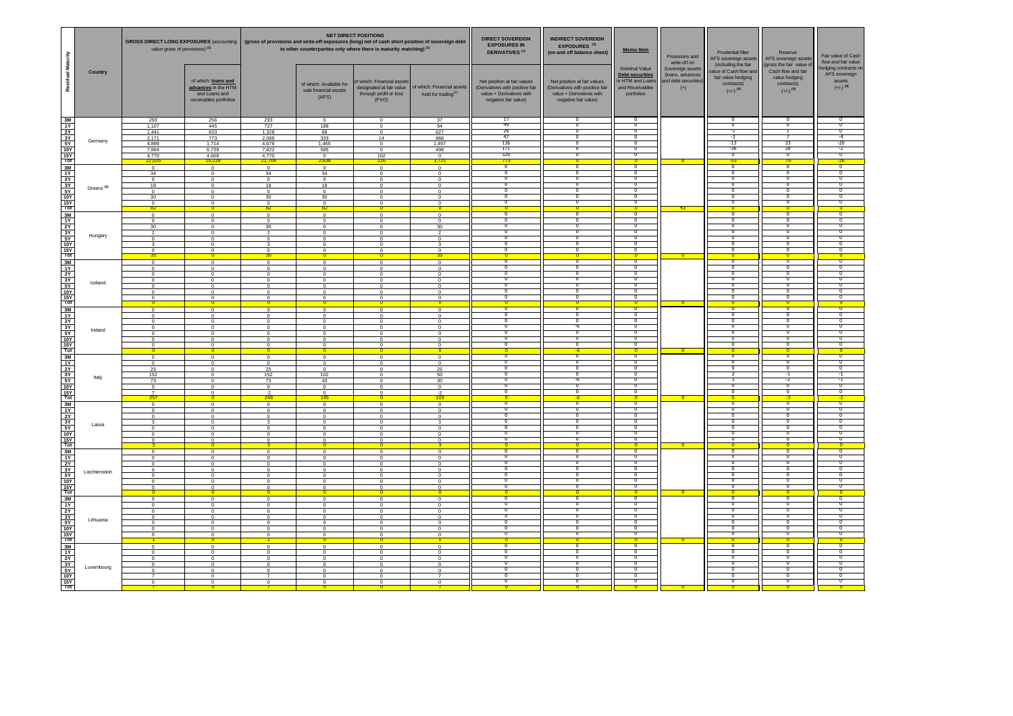|                                                                                                                                                                                                                                                                                                                                                                                                                                                                                                                                                                                                               |                       | GROSS DIRECT LONG EXPOSURES (accounting   (gross of provisions and write-off exposures (long) net of cash short position of sovereign debt<br>value gross of provisions) <sup>(1)</sup> |                                                                                                          |                                                                                    | to other counterparties only where there is maturity matching) <sup>(1)</sup>                                              | <b>NET DIRECT POSITIONS</b>                                           |                                                                                                              | <b>DIRECT SOVEREIGN</b><br><b>EXPOSURES IN</b><br><b>DERIVATIVES<sup>(1)</sup></b>                                 | <b>INDIRECT SOVEREIGN</b><br><b>EXPOSURES<sup>(3)</sup></b><br>(on and off balance sheet)                          | Memo Item                                                                                    | Provisions and<br>write-off on                                        | <b>Prudential filter</b><br>AFS sovereign assets<br>(including the fair              | Reserve<br>AFS sovereign assets<br>(gross the fair value of                          | Fair value of Cash<br>flow and fair value                                 |
|---------------------------------------------------------------------------------------------------------------------------------------------------------------------------------------------------------------------------------------------------------------------------------------------------------------------------------------------------------------------------------------------------------------------------------------------------------------------------------------------------------------------------------------------------------------------------------------------------------------|-----------------------|-----------------------------------------------------------------------------------------------------------------------------------------------------------------------------------------|----------------------------------------------------------------------------------------------------------|------------------------------------------------------------------------------------|----------------------------------------------------------------------------------------------------------------------------|-----------------------------------------------------------------------|--------------------------------------------------------------------------------------------------------------|--------------------------------------------------------------------------------------------------------------------|--------------------------------------------------------------------------------------------------------------------|----------------------------------------------------------------------------------------------|-----------------------------------------------------------------------|--------------------------------------------------------------------------------------|--------------------------------------------------------------------------------------|---------------------------------------------------------------------------|
| Residual Maturity                                                                                                                                                                                                                                                                                                                                                                                                                                                                                                                                                                                             | <b>Country</b>        |                                                                                                                                                                                         | of which: loans and<br>advances in the HTM<br>and Loans and<br>receivables portfolios                    |                                                                                    | of which: Available for<br>sale financial assets<br>(AFS)                                                                  | of which: Financial assets<br>through profit or loss<br>(FVO)         | designated at fair value   of which: Financial assets  <br>held for trading $^{(2)}$                         | Net position at fair values<br>(Derivatives with positive fair<br>value + Derivatives with<br>negative fair value) | Net position at fair values<br>(Derivatives with positive fair<br>value + Derivatives with<br>negative fair value) | <b>Nominal Value</b><br>Debt securities<br>in HTM and Loans<br>and Receivables<br>portfolios | Sovereign assets<br>(loans, advances<br>and debt securities)<br>$(+)$ | value of Cash flow and<br>fair value hedging<br>contracts)<br>$(+/-)$ <sup>(4)</sup> | Cash flow and fair<br>value hedging<br>contracts)<br>$(+/-)$ <sup>(4)</sup>          | hedging contracts on<br>AFS sovereign<br>assets<br>$(+/-)$ <sup>(4)</sup> |
| $\begin{array}{r}\n 3M \\  \hline\n 1Y \\  2Y \\  \hline\n 3Y \\  \hline\n 5Y \\  \hline\n 10Y \\  \hline\n 15Y \\  \hline\n 10t\n \end{array}$                                                                                                                                                                                                                                                                                                                                                                                                                                                               | Germany               | 293<br>1,107<br>1,441<br>2,171<br>4,889<br>7,864<br>4,770<br>22,535                                                                                                                     | 256<br>445<br>633<br>773<br>1,714<br>6,739<br>4,668<br>15,228                                            | 293<br>727<br>1,328<br>2,088<br>4,676<br>7,822<br>4,770<br><u>21,704</u>           | $\Omega$<br>188<br>68<br>333<br>1,465<br>585<br>$\Omega$<br>2,638                                                          | $\Omega$<br>$\Omega$<br>. വ<br>14<br>$\cap$<br>$\Omega$<br>102<br>116 | 37<br>94<br>627<br>968<br>1,497<br>498<br>$\overline{0}$<br>3,721                                            | -17<br>-49<br>26<br>-47<br>136<br>171<br>326<br><mark>773</mark>                                                   |                                                                                                                    | - U<br>$\Omega$<br>$\overline{0}$<br>-0<br>$\overline{\phantom{0}}$                          | $\overline{\mathbf{0}}$                                               | $-1$<br>$-3$<br>-13<br>$-36$<br><mark>-53</mark>                                     | -33<br>-38                                                                           | -4<br>$-20$<br>$-2$<br>$-26$                                              |
| $\begin{array}{r} \n 3M \\  \hline\n 1Y \\  2Y \\  3Y \\  5Y \\  5Y \\  10Y \\  3M \\  1Y \\  2Y \\  3Y \\  5Y \\  10Y \\  2Y \\  3Y \\  5Y \\  10Y\n\end{array}$                                                                                                                                                                                                                                                                                                                                                                                                                                             | Greece <sup>(5)</sup> | . റ<br>34<br>. റ<br>18<br>_റ<br>30<br>$\cap$<br>82                                                                                                                                      | $\Omega$<br>$\Omega$<br>$\Omega$<br>$\Omega$<br>$\Omega$<br>$\Omega$<br>$\Omega$<br>$\overline{0}$       | $\Omega$<br>34<br>$\Omega$<br>18<br>$\Omega$<br>30<br>$\Omega$<br>82 <sup>2</sup>  | $\Omega$<br>34<br>$\Omega$<br>18<br>$\Omega$<br>30<br>$\cap$<br>82 <sup>°</sup>                                            | $\cap$<br>$\cap$<br>$\cap$<br>$\cap$<br>$\cap$<br>- റ                 | $\Omega$<br>$\Omega$<br>$\Omega$<br>$\Omega$<br>$\Omega$<br>$\Omega$<br>$\Omega$<br>$\overline{\phantom{0}}$ | $\overline{\phantom{0}0}$                                                                                          | $\overline{0}$                                                                                                     | $\Omega$<br>0<br>-0<br>$\Omega$<br>0<br>$\overline{\phantom{0}}$ 0                           | <mark>- 43 -</mark>                                                   | $\overline{\mathbf{0}}$                                                              | - 0<br>- 0<br>-0<br>- 0<br>$\overline{0}$                                            | - 0 -                                                                     |
| $\frac{15Y}{\text{Tot}}$                                                                                                                                                                                                                                                                                                                                                                                                                                                                                                                                                                                      | Hungary               | _റ<br>. റ<br>30<br>ົາ<br>$\Omega$<br>-35                                                                                                                                                | $\Omega$<br>$\Omega$<br>$\Omega$<br>$\Omega$<br>$\Omega$<br>$\Omega$                                     | $\cap$<br>$\Omega$<br>30<br>ົດ<br>$\cap$<br>35.                                    | $\Omega$<br>$\Omega$<br>$\Omega$<br>$\Omega$<br>$\Omega$<br>റ                                                              | $\cap$<br>$\cap$<br>$\cap$<br>$\cap$                                  | $\Omega$<br>$\Omega$<br>30<br>$\Omega$<br>$\Omega$<br>$\mathbf{r}$<br><u>35.</u>                             |                                                                                                                    |                                                                                                                    | $\Omega$<br>- 0<br>0<br><u> U</u>                                                            | 0                                                                     |                                                                                      | - 0<br>- 0<br>-0<br>- 0<br>-0                                                        |                                                                           |
| $\begin{array}{c}\n\hline\n\downarrow \\ \hline\n\downarrow\n\end{array}$ $\begin{array}{c}\n\hline\n\downarrow\n\end{array}$ $\begin{array}{c}\n\hline\n\downarrow\n\end{array}$ $\begin{array}{c}\n\hline\n\downarrow\n\end{array}$ $\begin{array}{c}\n\hline\n\downarrow\n\end{array}$ $\begin{array}{c}\n\hline\n\downarrow\n\end{array}$                                                                                                                                                                                                                                                                 | Iceland               |                                                                                                                                                                                         | $\cap$<br>$\Omega$<br>$\cap$<br>$\cap$<br>$\Omega$<br>$\cap$<br>$\cap$<br>$\Omega$                       |                                                                                    | $\cap$<br>$\cap$<br>$\cap$                                                                                                 |                                                                       | $\cap$<br>$\cap$<br>$\Omega$<br>$\Omega$<br>$\cap$<br>$\cap$<br>$\cap$                                       |                                                                                                                    |                                                                                                                    |                                                                                              |                                                                       |                                                                                      |                                                                                      |                                                                           |
| $\begin{array}{r}\n\hline\n3M \\ \hline\n1Y \\ \hline\n2Y \\ \hline\n3Y \\ \hline\n5Y \\ \hline\n10Y \\ \hline\n\end{array}$                                                                                                                                                                                                                                                                                                                                                                                                                                                                                  | Ireland               |                                                                                                                                                                                         | $\Omega$<br>$\Omega$<br>$\Omega$<br>$\Omega$<br>$\Omega$<br>$\cap$<br>$\cap$                             |                                                                                    | $\cap$<br>$\cap$<br>$\Omega$<br>$\cap$<br>$\cap$                                                                           |                                                                       | - 0 -<br>$\Omega$<br>$\cap$<br>$\cap$<br>$\cap$<br>$\Omega$<br>$\Omega$<br>റ<br>0.                           |                                                                                                                    |                                                                                                                    | <u> O </u><br>- O -                                                                          | $\overline{\mathbf{0}}$<br>$\overline{\mathbf{0}}$                    |                                                                                      |                                                                                      |                                                                           |
| $\begin{array}{r}\n\hline\n3M \\ \hline\n1Y \\ \hline\n2Y \\ \hline\n3Y \\ \hline\n5Y \\ \hline\n10Y \\ \hline\n\end{array}$                                                                                                                                                                                                                                                                                                                                                                                                                                                                                  | Italy                 | $\Omega$<br>25<br>152<br>73<br>257                                                                                                                                                      | $\Omega$<br>$\Omega$<br>$\Omega$<br>$\cap$<br>$\Omega$<br>$\Omega$<br>$\Omega$                           | $\cap$<br>25<br>152<br>73<br>$\cap$<br>$-2$<br>248                                 | $\cap$<br>$\Omega$<br>$\Omega$<br>102<br>43<br>$\cap$<br>$\Omega$<br>145                                                   |                                                                       | $\Omega$<br>$\Omega$<br>25<br>50<br>30<br>$\Omega$<br>$-2$<br>103 <sub>1</sub>                               |                                                                                                                    |                                                                                                                    | -0                                                                                           | $\mathbf{0}$                                                          |                                                                                      |                                                                                      |                                                                           |
| $\begin{array}{r}\n\hline\n3M \\ \hline\n1Y \\ \hline\n2Y \\ \hline\n3Y \\ \hline\n5Y \\ \hline\n10Y \\ \hline\n\end{array}$                                                                                                                                                                                                                                                                                                                                                                                                                                                                                  | Latvia                | $\Omega$                                                                                                                                                                                | $\Omega$<br>$\Omega$<br>$\cap$<br>$\Omega$<br>$\Omega$<br>$\Omega$<br>$\Omega$<br>$\Omega$               | $\cap$<br>$\cap$<br>റ                                                              | $\Omega$<br>$\cap$<br>$\cap$<br>$\Omega$<br>റ<br>റ                                                                         |                                                                       | $\Omega$<br>$\Omega$<br>$\cap$<br>ູ<br>$\Omega$<br>$\Omega$<br>$\Omega$                                      |                                                                                                                    |                                                                                                                    | - 0<br>-0<br>$\overline{\mathbf{0}}$                                                         | $\mathbf{0}$                                                          |                                                                                      |                                                                                      |                                                                           |
| $\begin{array}{c}\n\hline\n\downarrow \\ 3 \text{M} \\ \hline\n\downarrow \\ 5 \text{M} \\ \hline\n\downarrow \\ \hline\n\downarrow \\ \hline\n\downarrow \\ \hline\n\downarrow \\ \hline\n\downarrow \\ \hline\n\downarrow \\ \hline\n\downarrow \\ \hline\n\downarrow \\ \hline\n\downarrow \\ \hline\n\downarrow \\ \hline\n\downarrow \\ \hline\n\downarrow \\ \hline\n\downarrow \\ \hline\n\downarrow \\ \hline\n\downarrow \\ \hline\n\downarrow \\ \hline\n\downarrow \\ \hline\n\downarrow \\ \hline\n\downarrow \\ \hline\n\downarrow \\ \hline\n\downarrow \\ \hline\n\downarrow \\ \hline\n\down$ | Liechtenstein         | $\cap$<br>റ                                                                                                                                                                             | $\Omega$<br>$\Omega$<br>$\Omega$<br>$\Omega$<br>$\Omega$<br>$\Omega$<br><b>U</b>                         | $\cap$<br>$\Omega$<br>$\Omega$                                                     | $\cap$<br>റ<br>റ<br>- 0<br>$\Omega$<br>$\Omega$                                                                            | $\cap$<br>റ                                                           | $\Omega$<br>$\Omega$<br>$\Omega$<br>$\Omega$<br>$\Omega$<br>$\Omega$<br>$\overline{\mathbf{0}}$              | <b>U</b><br>U<br>- O                                                                                               |                                                                                                                    | -0<br>-0                                                                                     | $\overline{\phantom{0}}$                                              | - 0<br>-U<br>- O -                                                                   | - 0<br>- 0<br><u> O </u>                                                             |                                                                           |
| $\begin{array}{c}\n\hline\n\text{3M} \\ \hline\n\text{3M} \\ \hline\n\text{3M} \\ \hline\n\text{3M} \\ \hline\n\text{3M} \\ \hline\n\text{3M} \\ \hline\n\text{3M} \\ \hline\n\text{3M} \\ \hline\n\text{3M} \\ \hline\n\text{3M} \\ \hline\n\text{3M} \\ \hline\n\text{3M} \\ \hline\n\text{3M} \\ \hline\n\text{3M} \\ \hline\n\text{3M} \\ \hline\n\text{3M} \\ \hline\n\text{3M} \\ \hline\n\text{3M} \\ \hline\n\text{3M} \\ \hline$                                                                                                                                                                     | Lithuania             | - 0<br>$\Omega$<br>$\Omega$<br>- റ<br>- റ<br>- 0<br>$\Omega$                                                                                                                            | $\Omega$<br>$\Omega$<br>$\Omega$<br>$\overline{0}$<br>$\Omega$<br>$\Omega$<br>$\Omega$<br>$\overline{0}$ | റ<br>$\Omega$<br>$\Omega$<br>$\Omega$<br>$\Omega$<br>റ<br>$\Omega$<br>$\mathbf{1}$ | $\overline{0}$<br>$\Omega$<br>$\Omega$<br>$\overline{0}$<br>$\overline{0}$<br>$\overline{0}$<br>$\overline{0}$<br><b>O</b> | $\cap$<br>- റ<br>- റ<br>$\cap$<br>റ                                   | $\Omega$<br>$\Omega$<br>$\Omega$<br>$\Omega$<br>$\Omega$<br>$\Omega$<br>$\Omega$                             | <b>U</b><br>U<br>$\overline{\phantom{0}}$ 0                                                                        |                                                                                                                    | - 0<br>᠊᠐<br>ಾ<br>- 0                                                                        |                                                                       | - U<br>- 0<br>- U<br><b>U</b>                                                        | - 0<br>$\overline{0}$<br>$\overline{0}$<br>-0<br><b>U</b><br>$\overline{\mathbf{0}}$ | - 0-                                                                      |
| $\begin{array}{r} \hline 3M \\ \hline 3M \\ \hline 1Y \\ \hline 2Y \\ \hline 3Y \\ \hline 5Y \\ \hline 10Y \\ \hline 15Y \\ \hline \hline \end{array}$                                                                                                                                                                                                                                                                                                                                                                                                                                                        | Luxembourg            | - റ<br>- റ<br>- റ<br>- 0<br>$\Omega$<br>$\overline{7}$<br>റ                                                                                                                             | $\Omega$<br>$\overline{0}$<br>$\Omega$<br>$\Omega$<br>$\Omega$<br>$\Omega$<br>$\Omega$                   | $\Omega$<br>$\Omega$<br>- 0<br>റ<br>$\Omega$<br>$\overline{7}$<br>റ                | $\overline{0}$<br>$\overline{0}$<br>$\overline{0}$<br>$\Omega$<br>$\Omega$<br>$\overline{0}$<br>$\Omega$                   | - റ<br>- റ<br>$\cap$<br>$\cap$<br>_റ<br>_റ                            | $\Omega$<br>$\overline{0}$<br>$\Omega$<br>$\Omega$<br>$\Omega$<br>$\overline{7}$<br>$\Omega$                 | <b>U</b><br>U<br>$\overline{0}$                                                                                    |                                                                                                                    | <b>U</b><br>- 0<br>-0<br>-0<br>$\overline{0}$                                                |                                                                       | - U<br>- 0<br>- U                                                                    | <b>U</b><br>-0<br>-0<br>$\overline{0}$<br>$\overline{0}$<br>U                        |                                                                           |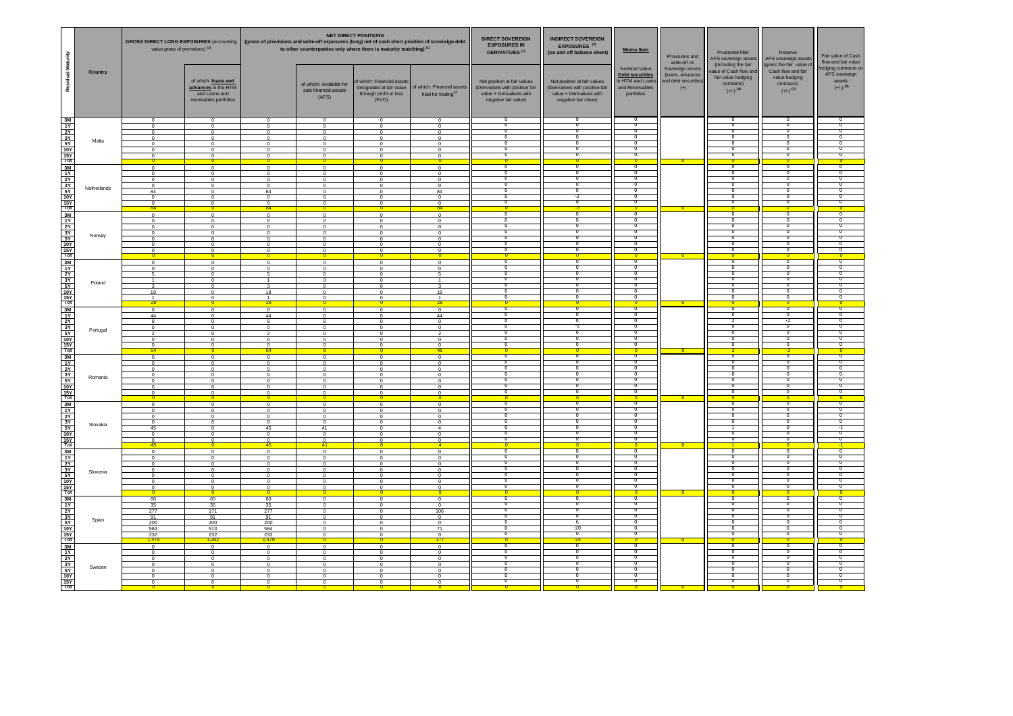|                                                                                                                                                                                                                                                                                                                                                                                                                           | GROSS DIRECT LONG EXPOSURES (accounting   (gross of provisions and write-off exposures (long) net of cash short position of sovereign debt<br>value gross of provisions) <sup>(1)</sup>                                                                    |                                                                                                          |                                                                                                                                                       | <b>NET DIRECT POSITIONS</b><br>to other counterparties only where there is maturity matching) <sup>(1)</sup> |                                                                                                                                                                  | <b>DIRECT SOVEREIGN</b><br><b>EXPOSURES IN</b><br><b>DERIVATIVES<sup>(1)</sup></b>                                 | <b>INDIRECT SOVEREIGN</b><br><b>EXPOSURES<sup>(3)</sup></b><br>(on and off balance sheet)                          | <b>Memo Item</b>                                                                             | Provisions and<br>write-off on                                        | <b>Prudential filter</b><br>AFS sovereign assets                                                            | Reserve<br>AFS sovereign assets                                                                                     | Fair value of Cash<br>flow and fair value                                 |
|---------------------------------------------------------------------------------------------------------------------------------------------------------------------------------------------------------------------------------------------------------------------------------------------------------------------------------------------------------------------------------------------------------------------------|------------------------------------------------------------------------------------------------------------------------------------------------------------------------------------------------------------------------------------------------------------|----------------------------------------------------------------------------------------------------------|-------------------------------------------------------------------------------------------------------------------------------------------------------|--------------------------------------------------------------------------------------------------------------|------------------------------------------------------------------------------------------------------------------------------------------------------------------|--------------------------------------------------------------------------------------------------------------------|--------------------------------------------------------------------------------------------------------------------|----------------------------------------------------------------------------------------------|-----------------------------------------------------------------------|-------------------------------------------------------------------------------------------------------------|---------------------------------------------------------------------------------------------------------------------|---------------------------------------------------------------------------|
| Residual Maturity<br><b>Country</b>                                                                                                                                                                                                                                                                                                                                                                                       | of which: loans and<br>advances in the HTM<br>and Loans and<br>receivables portfolios                                                                                                                                                                      |                                                                                                          | of which: Available for<br>sale financial assets<br>(AFS)                                                                                             | of which: Financial assets<br>through profit or loss<br>(FVO)                                                | designated at fair value   of which: Financial assets<br>held for trading $^{(2)}$                                                                               | Net position at fair values<br>(Derivatives with positive fair<br>value + Derivatives with<br>negative fair value) | Net position at fair values<br>(Derivatives with positive fair<br>value + Derivatives with<br>negative fair value) | <b>Nominal Value</b><br>Debt securities<br>in HTM and Loans<br>and Receivables<br>portfolios | Sovereign assets<br>(loans, advances<br>and debt securities)<br>$(+)$ | (including the fair<br>value of Cash flow and<br>fair value hedging<br>contracts)<br>$(+/-)$ <sup>(4)</sup> | (gross the fair value of<br>Cash flow and fair<br>value hedging<br>contracts)<br>$(+/-)$ <sup>(4)</sup>             | hedging contracts on<br>AFS sovereign<br>assets<br>$(+/-)$ <sup>(4)</sup> |
| Malta                                                                                                                                                                                                                                                                                                                                                                                                                     | $\cap$<br>$\overline{0}$<br>$\Omega$<br>റ<br>$\Omega$<br>$\cap$<br>$\Omega$<br>$\sqrt{ }$<br>$\Omega$<br>റ<br>$\Omega$<br>റ<br>$\Omega$<br>$\Omega$                                                                                                        | $\Omega$<br>$\cap$<br>$\cap$<br>$\cap$<br>$\cap$<br>$\cap$<br>$\Omega$                                   | $\Omega$<br>$\Omega$<br>$\Omega$<br>$\cap$<br>$\Omega$<br>$\Omega$<br>$\Omega$                                                                        | $\cap$<br>$\cap$<br>$\cap$<br>$\cap$<br>$\cap$                                                               | $\Omega$<br>$\overline{0}$<br>$\Omega$<br>$\Omega$<br>$\Omega$<br>$\Omega$<br>$\Omega$<br>$\overline{0}$                                                         |                                                                                                                    |                                                                                                                    | -0<br>- 0<br>-0<br>- 0 -                                                                     | $\overline{\mathbf{0}}$                                               | - റ                                                                                                         | -0<br>- 0<br>-0<br>$\Omega$                                                                                         | - റ                                                                       |
| $\frac{2}{3}$<br>$\frac{2}{3}$<br>$\frac{2}{3}$<br>$\frac{2}{3}$<br>$\frac{2}{3}$<br>$\frac{2}{3}$<br>$\frac{2}{3}$<br>$\frac{2}{3}$<br>$\frac{2}{3}$<br>$\frac{2}{3}$<br>$\frac{2}{3}$<br>$\frac{2}{3}$<br>Netherlands                                                                                                                                                                                                   | - റ<br>$\Omega$<br>$\Omega$<br>$\cap$<br>$\Omega$<br>$\Omega$<br>84<br>$\Omega$<br>$\Omega$<br>$\Omega$<br>$\Omega$                                                                                                                                        | $\cap$<br>$\cap$<br>$\cap$<br>$\Omega$<br>84<br>$\cap$<br>$\cap$<br>84                                   | $\cap$<br>$\cap$<br>$\cap$<br>$\cap$<br>$\Omega$<br>$\cap$<br>$\cap$                                                                                  | $\sqrt{ }$<br>$\cap$                                                                                         | $\Omega$<br>$\Omega$<br>$\Omega$<br>$\Omega$<br>84<br>$\Omega$<br>$\Omega$                                                                                       |                                                                                                                    | $-2$                                                                                                               | -0<br>- 0<br>-0<br>-0<br>- 0                                                                 |                                                                       |                                                                                                             | -0<br>-0<br>-0<br>- 0<br>-0                                                                                         |                                                                           |
| Norway<br>$\frac{15Y}{\text{Tot}}$                                                                                                                                                                                                                                                                                                                                                                                        | 84<br>$\sqrt{ }$<br>- റ<br>$\Omega$<br>$\Omega$<br>$\Omega$<br>$\Omega$<br>$\Omega$                                                                                                                                                                        | $\cap$<br>$\cap$<br>$\cap$<br>$\cap$<br>$\cap$                                                           | $\cap$<br>$\cap$<br>$\cap$<br>$\cap$<br>$\cap$                                                                                                        | $\Omega$                                                                                                     | 84<br>$\Omega$<br>$\Omega$<br>$\Omega$<br>$\Omega$<br>$\Omega$<br>$\Omega$                                                                                       |                                                                                                                    | -3-                                                                                                                | $\overline{\phantom{0}}$<br>- 0                                                              | $\overline{\mathbf{0}}$                                               |                                                                                                             | -0<br>- 0<br>-0                                                                                                     |                                                                           |
| 3M<br>1Y<br>2Y<br>3Y<br>5Y<br>10Y<br>15Y<br>Tot<br>Poland                                                                                                                                                                                                                                                                                                                                                                 | $\Omega$<br>$\Omega$<br>$\Omega$<br>$\Omega$<br>18<br>$\cap$<br>$\Omega$                                                                                                                                                                                   | 18                                                                                                       |                                                                                                                                                       |                                                                                                              | $\Omega$<br>$\Omega$<br>18                                                                                                                                       |                                                                                                                    |                                                                                                                    | <u> U </u>                                                                                   | - 0                                                                   |                                                                                                             |                                                                                                                     |                                                                           |
| 3M<br>1Y<br>2Y<br>3Y<br>5Y<br>10Y<br>15Y<br>Tot<br>Portugal                                                                                                                                                                                                                                                                                                                                                               | <u> 28</u><br>$\Omega$<br>44<br>$\cap$<br>$\cap$<br>$\Omega$<br>$\Omega$<br>$\Omega$<br>$\Omega$                                                                                                                                                           | 28<br>44                                                                                                 |                                                                                                                                                       |                                                                                                              | <u>28</u><br>$\Omega$<br>44<br>$\Omega$<br>$\Omega$<br>ົ<br>$\cap$<br>$\Omega$                                                                                   |                                                                                                                    |                                                                                                                    | <u> U</u>                                                                                    | <b>U</b>                                                              |                                                                                                             |                                                                                                                     |                                                                           |
| 3M<br>1Y<br>2Y<br>3Y<br>5Y<br>10Y<br>15Y<br>Tot<br>Romania                                                                                                                                                                                                                                                                                                                                                                | $-54$<br>$\cap$<br>$\cap$<br>$\cap$<br>$\cap$<br>$\cap$<br>$\cap$<br>$\Omega$                                                                                                                                                                              | 54 <sup>°</sup>                                                                                          |                                                                                                                                                       |                                                                                                              | <u>46 </u><br>$\Omega$<br>$\Omega$<br>$\cap$<br>$\Omega$<br>$\Omega$<br>$\Omega$<br>$\Omega$                                                                     |                                                                                                                    |                                                                                                                    | - O -                                                                                        | 0                                                                     |                                                                                                             |                                                                                                                     |                                                                           |
| $\begin{array}{r}\n\hline\n3M \\ \hline\n1Y \\ \hline\n2Y \\ \hline\n3Y \\ \hline\n5Y \\ \hline\n10Y \\ \hline\n\end{array}$<br>Slovakia                                                                                                                                                                                                                                                                                  | $\Omega$<br>$\cap$<br>$\Omega$<br>45<br>$\Omega$                                                                                                                                                                                                           | റ<br>45                                                                                                  | 41                                                                                                                                                    |                                                                                                              | $\Omega$<br>$\Omega$<br>$\Omega$<br>$\Omega$                                                                                                                     |                                                                                                                    |                                                                                                                    | <u> O</u>                                                                                    | $\mathbf{0}$                                                          |                                                                                                             |                                                                                                                     |                                                                           |
| $\frac{15Y}{Tot}$<br>3M<br>1Y<br>Slovenia                                                                                                                                                                                                                                                                                                                                                                                 | -45<br>$\mathbf{0}$<br>$\Omega$<br>$\Omega$<br>$\Omega$<br>$\overline{0}$                                                                                                                                                                                  | 45<br>റ<br>$\Omega$                                                                                      | 41<br>$\cap$<br>$\overline{0}$                                                                                                                        | $\Omega$                                                                                                     | ∩<br>$\Omega$<br>$\Omega$<br>$\Omega$<br>$\overline{0}$                                                                                                          |                                                                                                                    |                                                                                                                    | - 0 -<br>U<br>0                                                                              | $\mathbf{0}$                                                          |                                                                                                             | U<br>- 0                                                                                                            |                                                                           |
| Spain                                                                                                                                                                                                                                                                                                                                                                                                                     | $\overline{0}$<br>$\Omega$<br>$\overline{0}$<br>$\overline{0}$<br>60<br>60<br>35<br>35<br>277<br>171<br>91<br>91<br>200<br>200<br>584<br>513                                                                                                               | $\Omega$<br>$\overline{0}$<br>60<br>35<br>277<br>91<br>200<br>584                                        | $\overline{0}$<br>$\Omega$<br>$\overline{0}$<br>$\overline{0}$<br>$\overline{0}$<br>- 0<br>$\Omega$                                                   | - റ<br>- റ<br>$\Omega$<br>- റ                                                                                | $\overline{0}$<br>$\overline{\mathbf{0}}$<br>$\overline{0}$<br>$\overline{0}$<br>106<br>$\overline{0}$<br>$\overline{0}$<br>71                                   | <u> O</u>                                                                                                          | $-20$                                                                                                              | -0<br>$\overline{\phantom{0}}$ 0<br>0<br>$\overline{0}$<br>$\overline{0}$<br>-0<br>$\bf{0}$  | <u> 0 -</u>                                                           | $\overline{0}$<br><b>U</b><br><b>U</b>                                                                      | -0<br>$\overline{\phantom{0}}$<br>$\bf{0}$<br>$\overline{0}$<br>$\overline{0}$<br>-0<br>-0<br>$\overline{0}$        |                                                                           |
| $\frac{1}{\frac{1}{\frac{1}{\sqrt{1}}}}\frac{1}{\frac{1}{\sqrt{1}}}\frac{1}{\sqrt{1}}\frac{1}{\sqrt{1}}\frac{1}{\sqrt{1}}\frac{1}{\sqrt{1}}\frac{1}{\sqrt{1}}\frac{1}{\sqrt{1}}\frac{1}{\sqrt{1}}\frac{1}{\sqrt{1}}\frac{1}{\sqrt{1}}\frac{1}{\sqrt{1}}\frac{1}{\sqrt{1}}\frac{1}{\sqrt{1}}\frac{1}{\sqrt{1}}\frac{1}{\sqrt{1}}\frac{1}{\sqrt{1}}\frac{1}{\sqrt{1}}\frac{1}{\sqrt{1}}\frac{1}{\sqrt{1}}\frac{1$<br>Sweden | $\frac{232}{ }$<br>$\frac{232}{1,302}$<br><mark>1,479</mark><br>$\overline{0}$<br>$\Omega$<br>$\overline{0}$<br>$\Omega$<br>$\overline{0}$<br>$\cap$<br>$\overline{0}$<br>$\Omega$<br>$\overline{0}$<br>$\Omega$<br>$\overline{0}$<br>$\Omega$<br>$\Omega$ | 232<br><mark>1,479</mark><br>$\Omega$<br>$\Omega$<br>- റ<br>$\Omega$<br>$\Omega$<br>$\Omega$<br>$\Omega$ | $\overline{0}$<br>$\overline{\mathbf{0}}$<br>$\overline{0}$<br>$\Omega$<br>$\Omega$<br>$\overline{0}$<br>$\overline{0}$<br>$\overline{0}$<br>$\Omega$ | $\cap$<br>- റ<br>- റ<br>$\Omega$<br>- റ                                                                      | $\overline{0}$<br>$\overline{177}$<br>$\overline{0}$<br>$\overline{0}$<br>$\overline{0}$<br>$\overline{0}$<br>$\overline{0}$<br>$\overline{0}$<br>$\overline{0}$ | $\overline{\phantom{0}}$                                                                                           | <mark>-14 -</mark>                                                                                                 | -0<br>$\overline{\phantom{0}}$ 0<br>- 0<br>-0<br>$\bf{0}$<br>$\overline{0}$<br>-0<br>-0      |                                                                       | <b>U</b><br>$\overline{\phantom{0}}$<br>- U<br>U                                                            | $\overline{0}$<br>$\overline{\phantom{0}}$<br>-0<br>-0<br>$\bf{0}$<br>$\overline{0}$<br>$\overline{0}$<br>-0<br>- 0 | - 0-                                                                      |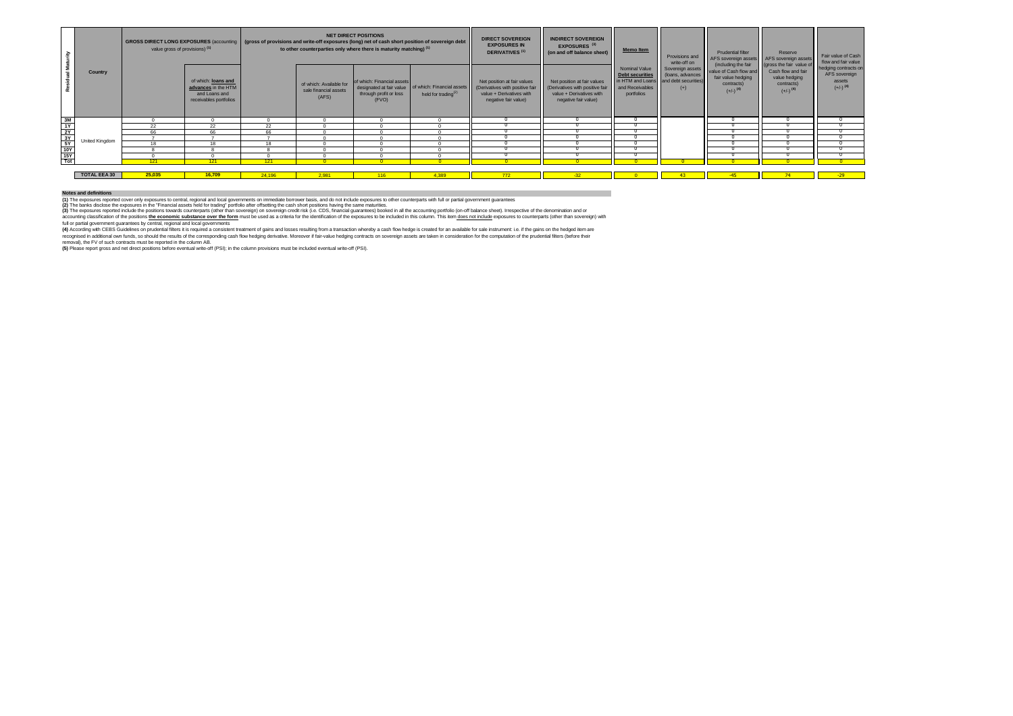(4) According with CEBS Guidelines on prudential filters it is required a consistent treatment of gains and losses resulting from a transaction whereby a cash flow hedge is created for an available for sale instrument: i.e recognised in additional own funds, so should the results of the corresponding cash flow hedging derivative. Moreover if fair-value hedging contracts on sovereign assets are taken in consideration for the computation of th removal), the FV of such contracts must be reported in the column AB.

|                                                                      |                     | <b>GROSS DIRECT LONG EXPOSURES</b> (accounting  <br>value gross of provisions) <sup>(1)</sup> |                                                                                       |        | to other counterparties only where there is maturity matching) <sup>(1)</sup> | <b>NET DIRECT POSITIONS</b>                                   | (gross of provisions and write-off exposures (long) net of cash short position of sovereign debt | <b>DIRECT SOVEREIGN</b><br><b>EXPOSURES IN</b><br><b>DERIVATIVES<sup>(1)</sup></b>                                 | <b>INDIRECT SOVEREIGN</b><br>EXPOSURES <sup>(3)</sup><br>(on and off balance sheet)                                | <b>Memo Item</b>                                                                             | Provisions and<br>write-off on                    | <b>Prudential filter</b><br>AFS sovereign assets   AFS sovereign assets                                                      | Reserve                                                                                                | Fair value of Cash<br>flow and fair value                                 |
|----------------------------------------------------------------------|---------------------|-----------------------------------------------------------------------------------------------|---------------------------------------------------------------------------------------|--------|-------------------------------------------------------------------------------|---------------------------------------------------------------|--------------------------------------------------------------------------------------------------|--------------------------------------------------------------------------------------------------------------------|--------------------------------------------------------------------------------------------------------------------|----------------------------------------------------------------------------------------------|---------------------------------------------------|------------------------------------------------------------------------------------------------------------------------------|--------------------------------------------------------------------------------------------------------|---------------------------------------------------------------------------|
| <b>Residual Maturity</b>                                             | <b>Country</b>      |                                                                                               | of which: loans and<br>advances in the HTM<br>and Loans and<br>receivables portfolios |        | of which: Available for<br>sale financial assets<br>(AFS)                     | of which: Financial assets<br>through profit or loss<br>(FVO) | designated at fair value   of which: Financial assets<br>held for trading <sup>(2)</sup>         | Net position at fair values<br>(Derivatives with positive fair<br>value + Derivatives with<br>negative fair value) | Net position at fair values<br>(Derivatives with positive fair<br>value + Derivatives with<br>negative fair value) | <b>Nominal Value</b><br>Debt securities<br>in HTM and Loans<br>and Receivables<br>portfolios | (loans, advances<br>and debt securities)<br>$(+)$ | (including the fair<br>Sovereign assets value of Cash flow and<br>fair value hedging<br>contracts)<br>$(+/-)$ <sup>(4)</sup> | gross the fair value of<br>Cash flow and fair<br>value hedging<br>contracts)<br>$(+/-)$ <sup>(4)</sup> | hedging contracts on<br>AFS sovereign<br>assets<br>$(+/-)$ <sup>(4)</sup> |
| <u>3M<br/> 1Y<br/> 2Y<br/> 3Y<br/> 5Y<br/> 10Y<br/> 15Y<br/> Tot</u> |                     |                                                                                               |                                                                                       |        |                                                                               |                                                               |                                                                                                  |                                                                                                                    |                                                                                                                    |                                                                                              |                                                   |                                                                                                                              |                                                                                                        |                                                                           |
|                                                                      |                     | 22                                                                                            | 22                                                                                    | 22     |                                                                               |                                                               |                                                                                                  |                                                                                                                    |                                                                                                                    |                                                                                              |                                                   |                                                                                                                              |                                                                                                        |                                                                           |
|                                                                      |                     | 66                                                                                            | 66                                                                                    | 66     |                                                                               |                                                               |                                                                                                  |                                                                                                                    |                                                                                                                    |                                                                                              |                                                   |                                                                                                                              |                                                                                                        |                                                                           |
|                                                                      | United Kingdom      |                                                                                               |                                                                                       |        |                                                                               |                                                               |                                                                                                  |                                                                                                                    |                                                                                                                    |                                                                                              |                                                   |                                                                                                                              |                                                                                                        |                                                                           |
|                                                                      |                     | 18                                                                                            | 18                                                                                    | 18     |                                                                               |                                                               |                                                                                                  |                                                                                                                    |                                                                                                                    |                                                                                              |                                                   |                                                                                                                              |                                                                                                        |                                                                           |
|                                                                      |                     |                                                                                               |                                                                                       |        |                                                                               |                                                               |                                                                                                  |                                                                                                                    |                                                                                                                    |                                                                                              |                                                   |                                                                                                                              |                                                                                                        |                                                                           |
|                                                                      |                     |                                                                                               |                                                                                       |        |                                                                               |                                                               |                                                                                                  |                                                                                                                    |                                                                                                                    |                                                                                              |                                                   |                                                                                                                              |                                                                                                        |                                                                           |
|                                                                      |                     | 121                                                                                           | 121                                                                                   | 121    |                                                                               |                                                               |                                                                                                  |                                                                                                                    |                                                                                                                    |                                                                                              |                                                   |                                                                                                                              |                                                                                                        |                                                                           |
|                                                                      |                     |                                                                                               |                                                                                       |        |                                                                               |                                                               |                                                                                                  |                                                                                                                    |                                                                                                                    |                                                                                              |                                                   |                                                                                                                              |                                                                                                        |                                                                           |
|                                                                      | <b>TOTAL EEA 30</b> | 25,035                                                                                        | 16,709                                                                                | 24,196 | 2,981                                                                         | 116                                                           | 4,389                                                                                            | 772                                                                                                                | $-32$                                                                                                              |                                                                                              |                                                   | $-45$                                                                                                                        |                                                                                                        | $-29$                                                                     |

**(5)** Please report gross and net direct positions before eventual write-off (PSI); in the column provisions must be included eventual write-off (PSI).

## **Notes and definitions**

**(1)** The exposures reported cover only exposures to central, regional and local governments on immediate borrower basis, and do not include exposures to other counterparts with full or partial government guarantees **(2)** The banks disclose the exposures in the "Financial assets held for trading" portfolio after offsetting the cash short positions having the same maturities.

(3) The exposures reported include the positions towards counterparts (other than sovereign) on sovereign credit risk (i.e. CDS, financial guarantees) booked in all the accounting portfolio (on-off balance sheet). Irrespec accounting classification of the positions the economic substance over the form must be used as a criteria for the identification of the exposures to be included in this column. This item does not include exposures to coun full or partial government guarantees by central, regional and local governments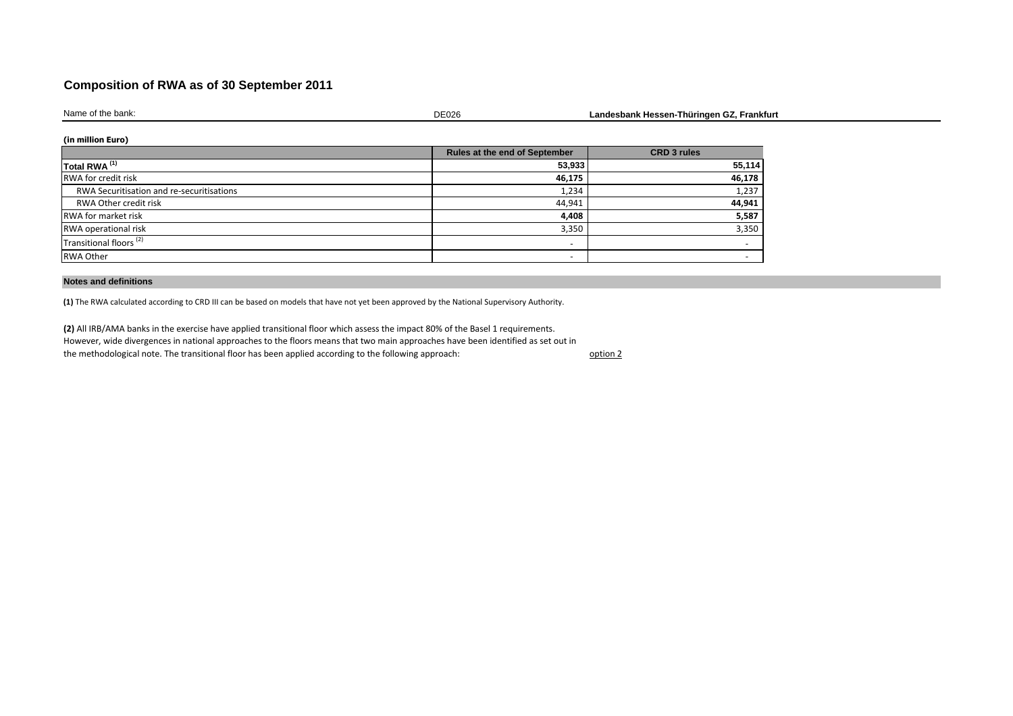# **Composition of RWA as of 30 September 2011**

| Name<br>non!<br>.<br>∵tne .<br>υαπιν. | $- - - -$<br>⊃∟∪∠r | rrankturt<br>Thuringen<br><br>∟andesbank<br>. |
|---------------------------------------|--------------------|-----------------------------------------------|
|                                       |                    |                                               |

## **(in million Euro)**

|                                           | <b>Rules at the end of September</b> | <b>CRD 3 rules</b>       |
|-------------------------------------------|--------------------------------------|--------------------------|
| Total RWA <sup>(1)</sup>                  | 53,933                               | 55,114                   |
| <b>RWA</b> for credit risk                | 46,175                               | 46,178                   |
| RWA Securitisation and re-securitisations | 1,234                                | 1,237                    |
| RWA Other credit risk                     | 44,941                               | 44,941                   |
| <b>RWA</b> for market risk                | 4,408                                | 5,587                    |
| <b>RWA operational risk</b>               | 3,350                                | 3,350                    |
| Transitional floors <sup>(2)</sup>        | $\overline{\phantom{0}}$             | $\overline{\phantom{0}}$ |
| <b>RWA Other</b>                          |                                      |                          |

### **Notes and definitions**

**(1)** The RWA calculated according to CRD III can be based on models that have not yet been approved by the National Supervisory Authority.

option 2 **(2)** All IRB/AMA banks in the exercise have applied transitional floor which assess the impact 80% of the Basel 1 requirements. However, wide divergences in national approaches to the floors means that two main approaches have been identified as set out in the methodological note. The transitional floor has been applied according to the following approach: